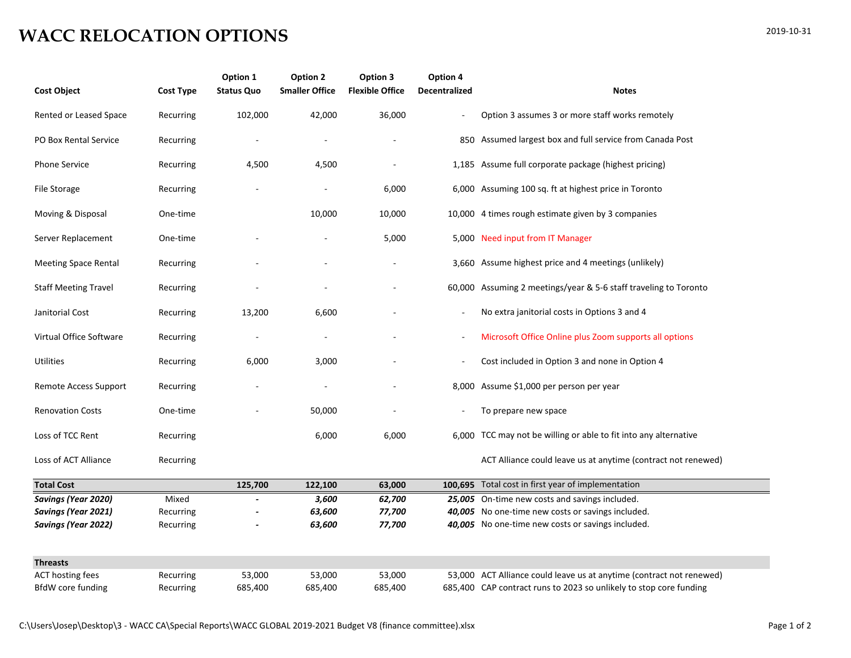## **WACC RELOCATION OPTIONS**

| <b>Cost Object</b>          | <b>Cost Type</b> | Option 1<br><b>Status Quo</b> | Option 2<br><b>Smaller Office</b> | Option 3<br><b>Flexible Office</b> | Option 4<br>Decentralized | <b>Notes</b>                                                         |
|-----------------------------|------------------|-------------------------------|-----------------------------------|------------------------------------|---------------------------|----------------------------------------------------------------------|
| Rented or Leased Space      | Recurring        | 102,000                       | 42,000                            | 36,000                             |                           | Option 3 assumes 3 or more staff works remotely                      |
| PO Box Rental Service       | Recurring        |                               |                                   |                                    |                           | 850 Assumed largest box and full service from Canada Post            |
| Phone Service               | Recurring        | 4,500                         | 4,500                             |                                    |                           | 1,185 Assume full corporate package (highest pricing)                |
| File Storage                | Recurring        |                               |                                   | 6,000                              |                           | 6,000 Assuming 100 sq. ft at highest price in Toronto                |
| Moving & Disposal           | One-time         |                               | 10,000                            | 10,000                             |                           | 10,000 4 times rough estimate given by 3 companies                   |
| Server Replacement          | One-time         |                               |                                   | 5,000                              |                           | 5,000 Need input from IT Manager                                     |
| <b>Meeting Space Rental</b> | Recurring        |                               |                                   |                                    |                           | 3,660 Assume highest price and 4 meetings (unlikely)                 |
| <b>Staff Meeting Travel</b> | Recurring        |                               |                                   |                                    |                           | 60,000 Assuming 2 meetings/year & 5-6 staff traveling to Toronto     |
| Janitorial Cost             | Recurring        | 13,200                        | 6,600                             |                                    | $\overline{\phantom{a}}$  | No extra janitorial costs in Options 3 and 4                         |
| Virtual Office Software     | Recurring        |                               |                                   |                                    |                           | Microsoft Office Online plus Zoom supports all options               |
| Utilities                   | Recurring        | 6,000                         | 3,000                             |                                    | $\overline{\phantom{a}}$  | Cost included in Option 3 and none in Option 4                       |
| Remote Access Support       | Recurring        |                               |                                   |                                    |                           | 8,000 Assume \$1,000 per person per year                             |
| <b>Renovation Costs</b>     | One-time         |                               | 50,000                            |                                    |                           | To prepare new space                                                 |
| Loss of TCC Rent            | Recurring        |                               | 6,000                             | 6,000                              |                           | 6,000 TCC may not be willing or able to fit into any alternative     |
| Loss of ACT Alliance        | Recurring        |                               |                                   |                                    |                           | ACT Alliance could leave us at anytime (contract not renewed)        |
| <b>Total Cost</b>           |                  | 125,700                       | 122,100                           | 63,000                             |                           | 100,695 Total cost in first year of implementation                   |
| Savings (Year 2020)         | Mixed            |                               | 3,600                             | 62,700                             |                           | 25,005 On-time new costs and savings included.                       |
| <b>Savings (Year 2021)</b>  | Recurring        |                               | 63,600                            | 77,700                             |                           | 40,005 No one-time new costs or savings included.                    |
| Savings (Year 2022)         | Recurring        |                               | 63,600                            | 77,700                             |                           | 40,005 No one-time new costs or savings included.                    |
| <b>Threasts</b>             |                  |                               |                                   |                                    |                           |                                                                      |
| <b>ACT hosting fees</b>     | Recurring        | 53,000                        | 53,000                            | 53,000                             |                           | 53,000 ACT Alliance could leave us at anytime (contract not renewed) |
| BfdW core funding           | Recurring        | 685,400                       | 685,400                           | 685,400                            |                           | 685,400 CAP contract runs to 2023 so unlikely to stop core funding   |